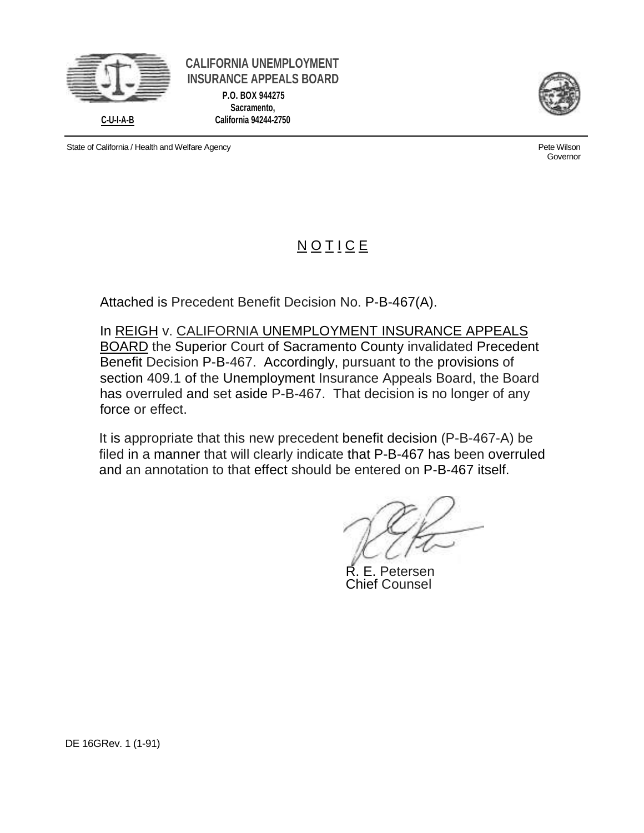

**CALIFORNIA UNEMPLOYMENT INSURANCE APPEALS BOARD P.O. BOX 944275 Sacramento, C-U-I-A-B California 94244-2750**



Governor

State of California / Health and Welfare Agency **Pete Wilson** Pete Wilson

## **NOTICE**

Attached is Precedent Benefit Decision No. P-B-467(A).

In REIGH v. CALIFORNIA UNEMPLOYMENT INSURANCE APPEALS BOARD the Superior Court of Sacramento County invalidated Precedent Benefit Decision P-B-467. Accordingly, pursuant to the provisions of section 409.1 of the Unemployment Insurance Appeals Board, the Board has overruled and set aside P-B-467. That decision is no longer of any force or effect.

It is appropriate that this new precedent benefit decision (P-B-467-A) be filed in a manner that will clearly indicate that P-B-467 has been overruled and an annotation to that effect should be entered on P-B-467 itself.

E. Petersen Chief Counsel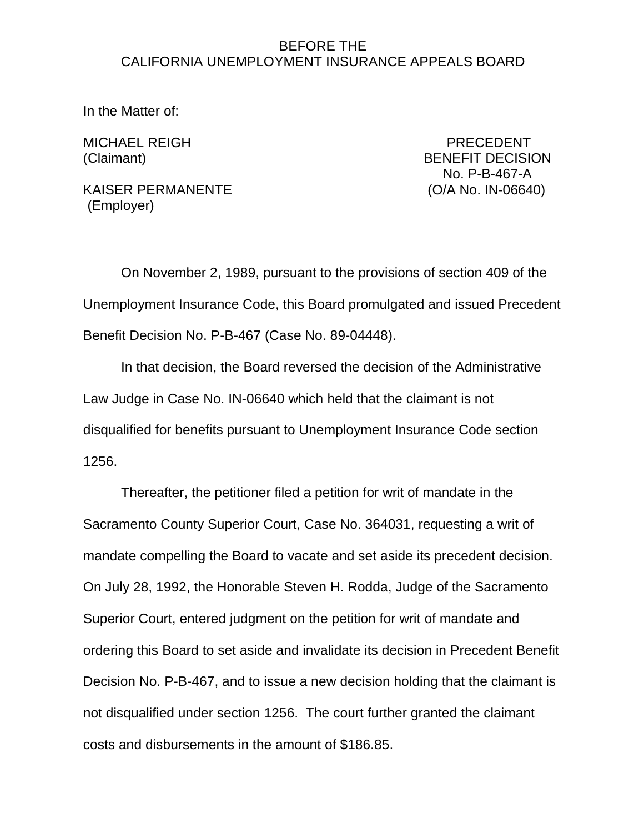## BEFORE THE CALIFORNIA UNEMPLOYMENT INSURANCE APPEALS BOARD

In the Matter of:

MICHAEL REIGH PRECEDENT (Claimant) BENEFIT DECISION No. P-B-467-A

KAISER PERMANENTE (O/A No. IN-06640) (Employer)

On November 2, 1989, pursuant to the provisions of section 409 of the Unemployment Insurance Code, this Board promulgated and issued Precedent Benefit Decision No. P-B-467 (Case No. 89-04448).

In that decision, the Board reversed the decision of the Administrative Law Judge in Case No. IN-06640 which held that the claimant is not disqualified for benefits pursuant to Unemployment Insurance Code section 1256.

Thereafter, the petitioner filed a petition for writ of mandate in the Sacramento County Superior Court, Case No. 364031, requesting a writ of mandate compelling the Board to vacate and set aside its precedent decision. On July 28, 1992, the Honorable Steven H. Rodda, Judge of the Sacramento Superior Court, entered judgment on the petition for writ of mandate and ordering this Board to set aside and invalidate its decision in Precedent Benefit Decision No. P-B-467, and to issue a new decision holding that the claimant is not disqualified under section 1256. The court further granted the claimant costs and disbursements in the amount of \$186.85.